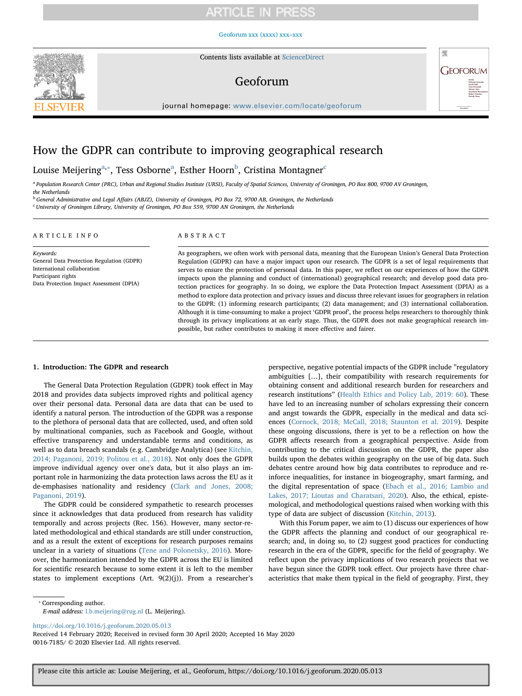## [Geoforum xxx \(xxxx\) xxx–xxx](https://doi.org/10.1016/j.geoforum.2020.05.013)



Contents lists available at [ScienceDirect](http://www.sciencedirect.com/science/journal/00167185)

# Geoforum



journal homepage: [www.elsevier.com/locate/geoforum](https://www.elsevier.com/locate/geoforum)

# How the GDPR can contribute to improving geographical research

Louise Meijering<sup>[a,](#page-0-0)</sup>\*, Tess Osborne<sup>[a](#page-0-0)</sup>, Esther Hoorn<sup>[b](#page-0-2)</sup>, Cristina Montagner<sup>[c](#page-0-3)</sup>

<span id="page-0-0"></span><sup>a</sup> Population Research Center (PRC), Urban and Regional Studies Institute (URSI), Faculty of Spatial Sciences, University of Groningen, PO Box 800, 9700 AV Groningen, the Netherlands

<span id="page-0-2"></span><sup>b</sup> General Administrative and Legal Affairs (ABJZ), University of Groningen, PO Box 72, 9700 AB, Groningen, the Netherlands

<span id="page-0-3"></span><sup>c</sup> University of Groningen Library, University of Groningen, PO Box 559, 9700 AN Groningen, the Netherlands

| ARTICLE INFO                                                                                                                                            | ABSTRACT                                                                                                                                                                                                                                                                                                                                                                                                                                                                                                                                                                                                                                                                                                                                                                                                                                                                                                                                                                                                                                     |  |  |
|---------------------------------------------------------------------------------------------------------------------------------------------------------|----------------------------------------------------------------------------------------------------------------------------------------------------------------------------------------------------------------------------------------------------------------------------------------------------------------------------------------------------------------------------------------------------------------------------------------------------------------------------------------------------------------------------------------------------------------------------------------------------------------------------------------------------------------------------------------------------------------------------------------------------------------------------------------------------------------------------------------------------------------------------------------------------------------------------------------------------------------------------------------------------------------------------------------------|--|--|
| Keywords:<br>General Data Protection Regulation (GDPR)<br>International collaboration<br>Participant rights<br>Data Protection Impact Assessment (DPIA) | As geographers, we often work with personal data, meaning that the European Union's General Data Protection<br>Regulation (GDPR) can have a major impact upon our research. The GDPR is a set of legal requirements that<br>serves to ensure the protection of personal data. In this paper, we reflect on our experiences of how the GDPR<br>impacts upon the planning and conduct of (international) geographical research; and develop good data pro-<br>tection practices for geography. In so doing, we explore the Data Protection Impact Assessment (DPIA) as a<br>method to explore data protection and privacy issues and discuss three relevant issues for geographers in relation<br>to the GDPR: (1) informing research participants; (2) data management; and (3) international collaboration.<br>Although it is time-consuming to make a project 'GDPR proof', the process helps researchers to thoroughly think<br>through its privacy implications at an early stage. Thus, the GDPR does not make geographical research im- |  |  |

possible, but rather contributes to making it more effective and fairer.

## 1. Introduction: The GDPR and research

The General Data Protection Regulation (GDPR) took effect in May 2018 and provides data subjects improved rights and political agency over their personal data. Personal data are data that can be used to identify a natural person. The introduction of the GDPR was a response to the plethora of personal data that are collected, used, and often sold by multinational companies, such as Facebook and Google, without effective transparency and understandable terms and conditions, as well as to data breach scandals (e.g. Cambridge Analytica) (see [Kitchin,](#page-4-0) [2014; Paganoni, 2019; Politou et al., 2018\)](#page-4-0). Not only does the GDPR improve individual agency over one's data, but it also plays an important role in harmonizing the data protection laws across the EU as it de-emphasises nationality and residency [\(Clark and Jones, 2008;](#page-3-0) [Paganoni, 2019](#page-3-0)).

The GDPR could be considered sympathetic to research processes since it acknowledges that data produced from research has validity temporally and across projects (Rec. 156). However, many sector-related methodological and ethical standards are still under construction, and as a result the extent of exceptions for research purposes remains unclear in a variety of situations ([Tene and Polonetsky, 2016\)](#page-4-1). Moreover, the harmonization intended by the GDPR across the EU is limited for scientific research because to some extent it is left to the member states to implement exceptions (Art. 9(2)(j)). From a researcher's perspective, negative potential impacts of the GDPR include "regulatory ambiguities […], their compatibility with research requirements for obtaining consent and additional research burden for researchers and research institutions" [\(Health Ethics and Policy Lab, 2019: 60](#page-4-2)). These have led to an increasing number of scholars expressing their concern and angst towards the GDPR, especially in the medical and data sciences ([Cornock, 2018; McCall, 2018; Staunton et al. 2019\)](#page-3-1). Despite these ongoing discussions, there is yet to be a reflection on how the GDPR affects research from a geographical perspective. Aside from contributing to the critical discussion on the GDPR, the paper also builds upon the debates within geography on the use of big data. Such debates centre around how big data contributes to reproduce and reinforce inequalities, for instance in biogeography, smart farming, and the digital representation of space ([Ebach et al., 2016; Lambio and](#page-4-3) [Lakes, 2017; Lioutas and Charatsari, 2020\)](#page-4-3). Also, the ethical, epistemological, and methodological questions raised when working with this type of data are subject of discussion [\(Kitchin, 2013\)](#page-4-4).

With this Forum paper, we aim to (1) discuss our experiences of how the GDPR affects the planning and conduct of our geographical research; and, in doing so, to (2) suggest good practices for conducting research in the era of the GDPR, specific for the field of geography. We reflect upon the privacy implications of two research projects that we have begun since the GDPR took effect. Our projects have three characteristics that make them typical in the field of geography. First, they

<span id="page-0-1"></span>⁎ Corresponding author.

E-mail address: [l.b.meijering@rug.nl](mailto:l.b.meijering@rug.nl) (L. Meijering).

<https://doi.org/10.1016/j.geoforum.2020.05.013>

Received 14 February 2020; Received in revised form 30 April 2020; Accepted 16 May 2020 0016-7185/ © 2020 Elsevier Ltd. All rights reserved.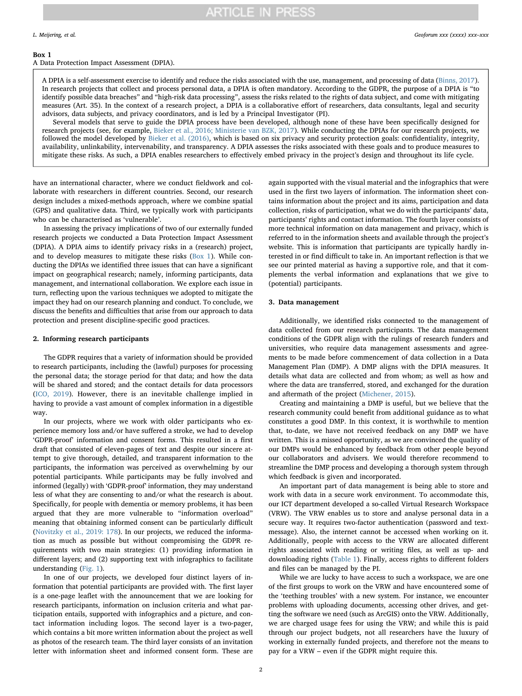## <span id="page-1-0"></span>Box 1

A Data Protection Impact Assessment (DPIA).

A DPIA is a self-assessment exercise to identify and reduce the risks associated with the use, management, and processing of data [\(Binns, 2017\)](#page-3-2). In research projects that collect and process personal data, a DPIA is often mandatory. According to the GDPR, the purpose of a DPIA is "to identify possible data breaches" and "high-risk data processing", assess the risks related to the rights of data subject, and come with mitigating measures (Art. 35). In the context of a research project, a DPIA is a collaborative effort of researchers, data consultants, legal and security advisors, data subjects, and privacy coordinators, and is led by a Principal Investigator (PI).

Several models that serve to guide the DPIA process have been developed, although none of these have been specifically designed for research projects (see, for example, [Bieker et al., 2016; Ministerie van BZK, 2017\)](#page-3-3). While conducting the DPIAs for our research projects, we followed the model developed by [Bieker et al. \(2016\),](#page-3-3) which is based on six privacy and security protection goals: confidentiality, integrity, availability, unlinkability, intervenability, and transparency. A DPIA assesses the risks associated with these goals and to produce measures to mitigate these risks. As such, a DPIA enables researchers to effectively embed privacy in the project's design and throughout its life cycle.

have an international character, where we conduct fieldwork and collaborate with researchers in different countries. Second, our research design includes a mixed-methods approach, where we combine spatial (GPS) and qualitative data. Third, we typically work with participants who can be characterised as 'vulnerable'.

In assessing the privacy implications of two of our externally funded research projects we conducted a Data Protection Impact Assessment (DPIA). A DPIA aims to identify privacy risks in a (research) project, and to develop measures to mitigate these risks ([Box 1\)](#page-1-0). While conducting the DPIAs we identified three issues that can have a significant impact on geographical research; namely, informing participants, data management, and international collaboration. We explore each issue in turn, reflecting upon the various techniques we adopted to mitigate the impact they had on our research planning and conduct. To conclude, we discuss the benefits and difficulties that arise from our approach to data protection and present discipline-specific good practices.

# <span id="page-1-1"></span>2. Informing research participants

The GDPR requires that a variety of information should be provided to research participants, including the (lawful) purposes for processing the personal data; the storage period for that data; and how the data will be shared and stored; and the contact details for data processors ([ICO, 2019\)](#page-4-5). However, there is an inevitable challenge implied in having to provide a vast amount of complex information in a digestible way.

In our projects, where we work with older participants who experience memory loss and/or have suffered a stroke, we had to develop 'GDPR-proof' information and consent forms. This resulted in a first draft that consisted of eleven-pages of text and despite our sincere attempt to give thorough, detailed, and transparent information to the participants, the information was perceived as overwhelming by our potential participants. While participants may be fully involved and informed (legally) with 'GDPR-proof' information, they may understand less of what they are consenting to and/or what the research is about. Specifically, for people with dementia or memory problems, it has been argued that they are more vulnerable to "information overload" meaning that obtaining informed consent can be particularly difficult ([Novitzky et al., 2019: 178\)](#page-4-6). In our projects, we reduced the information as much as possible but without compromising the GDPR requirements with two main strategies: (1) providing information in different layers; and (2) supporting text with infographics to facilitate understanding ([Fig. 1](#page-2-0)).

In one of our projects, we developed four distinct layers of information that potential participants are provided with. The first layer is a one-page leaflet with the announcement that we are looking for research participants, information on inclusion criteria and what participation entails, supported with infographics and a picture, and contact information including logos. The second layer is a two-pager, which contains a bit more written information about the project as well as photos of the research team. The third layer consists of an invitation letter with information sheet and informed consent form. These are again supported with the visual material and the infographics that were used in the first two layers of information. The information sheet contains information about the project and its aims, participation and data collection, risks of participation, what we do with the participants' data, participants' rights and contact information. The fourth layer consists of more technical information on data management and privacy, which is referred to in the information sheets and available through the project's website. This is information that participants are typically hardly interested in or find difficult to take in. An important reflection is that we see our printed material as having a supportive role, and that it complements the verbal information and explanations that we give to (potential) participants.

### 3. Data management

Additionally, we identified risks connected to the management of data collected from our research participants. The data management conditions of the GDPR align with the rulings of research funders and universities, who require data management assessments and agreements to be made before commencement of data collection in a Data Management Plan (DMP). A DMP aligns with the DPIA measures. It details what data are collected and from whom; as well as how and where the data are transferred, stored, and exchanged for the duration and aftermath of the project [\(Michener, 2015](#page-4-7)).

Creating and maintaining a DMP is useful, but we believe that the research community could benefit from additional guidance as to what constitutes a good DMP. In this context, it is worthwhile to mention that, to-date, we have not received feedback on any DMP we have written. This is a missed opportunity, as we are convinced the quality of our DMPs would be enhanced by feedback from other people beyond our collaborators and advisers. We would therefore recommend to streamline the DMP process and developing a thorough system through which feedback is given and incorporated.

An important part of data management is being able to store and work with data in a secure work environment. To accommodate this, our ICT department developed a so-called Virtual Research Workspace (VRW). The VRW enables us to store and analyse personal data in a secure way. It requires two-factor authentication (password and textmessage). Also, the internet cannot be accessed when working on it. Additionally, people with access to the VRW are allocated different rights associated with reading or writing files, as well as up- and downloading rights ([Table 1](#page-2-1)). Finally, access rights to different folders and files can be managed by the PI.

While we are lucky to have access to such a workspace, we are one of the first groups to work on the VRW and have encountered some of the 'teething troubles' with a new system. For instance, we encounter problems with uploading documents, accessing other drives, and getting the software we need (such as ArcGIS) onto the VRW. Additionally, we are charged usage fees for using the VRW; and while this is paid through our project budgets, not all researchers have the luxury of working in externally funded projects, and therefore not the means to pay for a VRW – even if the GDPR might require this.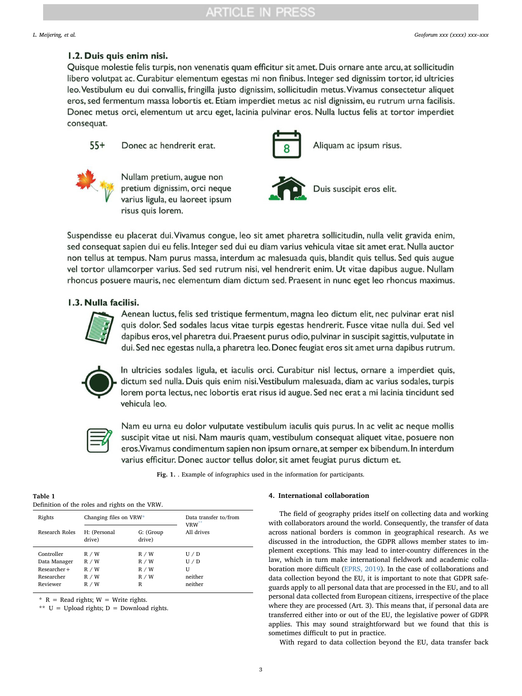# <span id="page-2-0"></span>1.2. Duis quis enim nisi.

Quisque molestie felis turpis, non venenatis quam efficitur sit amet. Duis ornare ante arcu, at sollicitudin libero volutpat ac. Curabitur elementum egestas mi non finibus. Integer sed dignissim tortor, id ultricies leo. Vestibulum eu dui convallis, fringilla justo dignissim, sollicitudin metus. Vivamus consectetur aliquet eros, sed fermentum massa lobortis et. Etiam imperdiet metus ac nisl dignissim, eu rutrum urna facilisis. Donec metus orci, elementum ut arcu eget, lacinia pulvinar eros. Nulla luctus felis at tortor imperdiet consequat.

 $55+$ Donec ac hendrerit erat.



Aliquam ac ipsum risus.



Nullam pretium, augue non pretium dignissim, orci neque varius ligula, eu laoreet ipsum risus quis lorem.



Duis suscipit eros elit.

Suspendisse eu placerat dui. Vivamus congue, leo sit amet pharetra sollicitudin, nulla velit gravida enim, sed consequat sapien dui eu felis. Integer sed dui eu diam varius vehicula vitae sit amet erat. Nulla auctor non tellus at tempus. Nam purus massa, interdum ac malesuada quis, blandit quis tellus. Sed quis augue vel tortor ullamcorper varius. Sed sed rutrum nisi, vel hendrerit enim. Ut vitae dapibus augue. Nullam rhoncus posuere mauris, nec elementum diam dictum sed. Praesent in nunc eget leo rhoncus maximus.

# 1.3. Nulla facilisi.



Aenean luctus, felis sed tristique fermentum, magna leo dictum elit, nec pulvinar erat nisl quis dolor. Sed sodales lacus vitae turpis egestas hendrerit. Fusce vitae nulla dui. Sed vel dapibus eros, vel pharetra dui. Praesent purus odio, pulvinar in suscipit sagittis, vulputate in dui. Sed nec egestas nulla, a pharetra leo. Donec feugiat eros sit amet urna dapibus rutrum.



In ultricies sodales ligula, et iaculis orci. Curabitur nisl lectus, ornare a imperdiet quis, dictum sed nulla. Duis quis enim nisi. Vestibulum malesuada, diam ac varius sodales, turpis lorem porta lectus, nec lobortis erat risus id augue. Sed nec erat a mi lacinia tincidunt sed vehicula leo.



Nam eu urna eu dolor vulputate vestibulum iaculis quis purus. In ac velit ac neque mollis suscipit vitae ut nisi. Nam mauris quam, vestibulum consequat aliquet vitae, posuere non eros. Vivamus condimentum sapien non ipsum ornare, at semper ex bibendum. In interdum varius efficitur. Donec auctor tellus dolor, sit amet feugiat purus dictum et.

Fig. 1. . Example of infographics used in the information for participants.

<span id="page-2-1"></span>

| Table 1 |                                                |  |
|---------|------------------------------------------------|--|
|         | Definition of the roles and rights on the VRW. |  |

| Rights                                                              | Changing files on VRW*                    |                                       | Data transfer to/from<br>$VRW^{**}$   |
|---------------------------------------------------------------------|-------------------------------------------|---------------------------------------|---------------------------------------|
| Research Roles                                                      | H: (Personal<br>drive)                    | G: (Group<br>drive)                   | All drives                            |
| Controller<br>Data Manager<br>Researcher+<br>Researcher<br>Reviewer | R / W<br>R / W<br>R / W<br>R / W<br>R / W | R / W<br>R / W<br>R / W<br>R / W<br>R | U/D<br>U/D<br>U<br>neither<br>neither |

<span id="page-2-2"></span> $*$  R = Read rights; W = Write rights.

<span id="page-2-3"></span>\*\* U = Upload rights; D = Download rights.

## 4. International collaboration

The field of geography prides itself on collecting data and working with collaborators around the world. Consequently, the transfer of data across national borders is common in geographical research. As we discussed in the introduction, the GDPR allows member states to implement exceptions. This may lead to inter-country differences in the law, which in turn make international fieldwork and academic collaboration more difficult ([EPRS, 2019](#page-4-8)). In the case of collaborations and data collection beyond the EU, it is important to note that GDPR safeguards apply to all personal data that are processed in the EU, and to all personal data collected from European citizens, irrespective of the place where they are processed (Art. 3). This means that, if personal data are transferred either into or out of the EU, the legislative power of GDPR applies. This may sound straightforward but we found that this is sometimes difficult to put in practice.

With regard to data collection beyond the EU, data transfer back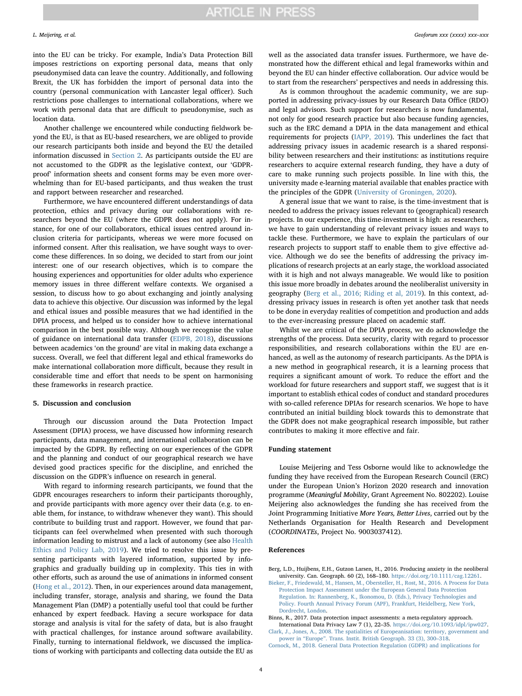into the EU can be tricky. For example, India's Data Protection Bill imposes restrictions on exporting personal data, means that only pseudonymised data can leave the country. Additionally, and following Brexit, the UK has forbidden the import of personal data into the country (personal communication with Lancaster legal officer). Such restrictions pose challenges to international collaborations, where we work with personal data that are difficult to pseudonymise, such as location data.

Another challenge we encountered while conducting fieldwork beyond the EU, is that as EU-based researchers, we are obliged to provide our research participants both inside and beyond the EU the detailed information discussed in [Section 2.](#page-1-1) As participants outside the EU are not accustomed to the GDPR as the legislative context, our 'GDPRproof' information sheets and consent forms may be even more overwhelming than for EU-based participants, and thus weaken the trust and rapport between researcher and researched.

Furthermore, we have encountered different understandings of data protection, ethics and privacy during our collaborations with researchers beyond the EU (where the GDPR does not apply). For instance, for one of our collaborators, ethical issues centred around inclusion criteria for participants, whereas we were more focused on informed consent. After this realisation, we have sought ways to overcome these differences. In so doing, we decided to start from our joint interest: one of our research objectives, which is to compare the housing experiences and opportunities for older adults who experience memory issues in three different welfare contexts. We organised a session, to discuss how to go about exchanging and jointly analysing data to achieve this objective. Our discussion was informed by the legal and ethical issues and possible measures that we had identified in the DPIA process, and helped us to consider how to achieve international comparison in the best possible way. Although we recognise the value of guidance on international data transfer [\(EDPB, 2018\)](#page-4-9), discussions between academics 'on the ground' are vital in making data exchange a success. Overall, we feel that different legal and ethical frameworks do make international collaboration more difficult, because they result in considerable time and effort that needs to be spent on harmonising these frameworks in research practice.

# 5. Discussion and conclusion

Through our discussion around the Data Protection Impact Assessment (DPIA) process, we have discussed how informing research participants, data management, and international collaboration can be impacted by the GDPR. By reflecting on our experiences of the GDPR and the planning and conduct of our geographical research we have devised good practices specific for the discipline, and enriched the discussion on the GDPR's influence on research in general.

With regard to informing research participants, we found that the GDPR encourages researchers to inform their participants thoroughly, and provide participants with more agency over their data (e.g. to enable them, for instance, to withdraw whenever they want). This should contribute to building trust and rapport. However, we found that participants can feel overwhelmed when presented with such thorough information leading to mistrust and a lack of autonomy (see also [Health](#page-4-2) [Ethics and Policy Lab, 2019](#page-4-2)). We tried to resolve this issue by presenting participants with layered information, supported by infographics and gradually building up in complexity. This ties in with other efforts, such as around the use of animations in informed consent (Hong [et al., 2012](#page-4-10)). Then, in our experiences around data management, including transfer, storage, analysis and sharing, we found the Data Management Plan (DMP) a potentially useful tool that could be further enhanced by expert feedback. Having a secure workspace for data storage and analysis is vital for the safety of data, but is also fraught with practical challenges, for instance around software availability. Finally, turning to international fieldwork, we discussed the implications of working with participants and collecting data outside the EU as well as the associated data transfer issues. Furthermore, we have demonstrated how the different ethical and legal frameworks within and beyond the EU can hinder effective collaboration. Our advice would be to start from the researchers' perspectives and needs in addressing this.

As is common throughout the academic community, we are supported in addressing privacy-issues by our Research Data Office (RDO) and legal advisors. Such support for researchers is now fundamental, not only for good research practice but also because funding agencies, such as the ERC demand a DPIA in the data management and ethical requirements for projects [\(IAPP, 2019](#page-4-11)). This underlines the fact that addressing privacy issues in academic research is a shared responsibility between researchers and their institutions: as institutions require researchers to acquire external research funding, they have a duty of care to make running such projects possible. In line with this, the university made e-learning material available that enables practice with the principles of the GDPR ([University of Groningen, 2020](#page-4-12)).

A general issue that we want to raise, is the time-investment that is needed to address the privacy issues relevant to (geographical) research projects. In our experience, this time-investment is high: as researchers, we have to gain understanding of relevant privacy issues and ways to tackle these. Furthermore, we have to explain the particulars of our research projects to support staff to enable them to give effective advice. Although we do see the benefits of addressing the privacy implications of research projects at an early stage, the workload associated with it is high and not always manageable. We would like to position this issue more broadly in debates around the neoliberalist university in geography ([Berg et al., 2016; Riding et al, 2019\)](#page-3-4). In this context, addressing privacy issues in research is often yet another task that needs to be done in everyday realities of competition and production and adds to the ever-increasing pressure placed on academic staff.

Whilst we are critical of the DPIA process, we do acknowledge the strengths of the process. Data security, clarity with regard to processor responsibilities, and research collaborations within the EU are enhanced, as well as the autonomy of research participants. As the DPIA is a new method in geographical research, it is a learning process that requires a significant amount of work. To reduce the effort and the workload for future researchers and support staff, we suggest that is it important to establish ethical codes of conduct and standard procedures with so-called reference DPIAs for research scenarios. We hope to have contributed an initial building block towards this to demonstrate that the GDPR does not make geographical research impossible, but rather contributes to making it more effective and fair.

## Funding statement

Louise Meijering and Tess Osborne would like to acknowledge the funding they have received from the European Research Council (ERC) under the European Union's Horizon 2020 research and innovation programme (Meaningful Mobility, Grant Agreement No. 802202). Louise Meijering also acknowledges the funding she has received from the Joint Programming Initiative More Years, Better Lives, carried out by the Netherlands Organisation for Health Research and Development (COORDINATEs, Project No. 9003037412).

## References

<span id="page-3-4"></span>Berg, L.D., Huijbens, E.H., Gutzon Larsen, H., 2016. Producing anxiety in the neoliberal university. Can. Geograph. 60 (2), 168–180. [https://doi.org/10.1111/cag.12261.](https://doi.org/10.1111/cag.12261)

<span id="page-3-3"></span>[Bieker, F., Friedewald, M., Hansen, M., Obersteller, H., Rost, M., 2016. A Process for Data](http://refhub.elsevier.com/S0016-7185(20)30131-7/h0010) [Protection Impact Assessment under the European General Data Protection](http://refhub.elsevier.com/S0016-7185(20)30131-7/h0010) [Regulation. In: Rannenberg, K., Ikonomou, D. \(Eds.\), Privacy Technologies and](http://refhub.elsevier.com/S0016-7185(20)30131-7/h0010) [Policy. Fourth Annual Privacy Forum \(APF\), Frankfurt, Heidelberg, New York,](http://refhub.elsevier.com/S0016-7185(20)30131-7/h0010) [Dordrecht, London](http://refhub.elsevier.com/S0016-7185(20)30131-7/h0010).

<span id="page-3-2"></span>Binns, R., 2017. Data protection impact assessments: a meta-regulatory approach. International Data Privacy Law 7 (1), 22–35. [https://doi.org/10.1093/idpl/ipw027.](https://doi.org/10.1093/idpl/ipw027)

<span id="page-3-0"></span>[Clark, J., Jones, A., 2008. The spatialities of Europeanisation: territory, government and](http://refhub.elsevier.com/S0016-7185(20)30131-7/h0020) power in "Europe"[. Trans. Instit. British Geograph. 33 \(3\), 300](http://refhub.elsevier.com/S0016-7185(20)30131-7/h0020)–318.

<span id="page-3-1"></span>[Cornock, M., 2018. General Data Protection Regulation \(GDPR\) and implications for](http://refhub.elsevier.com/S0016-7185(20)30131-7/h0025)